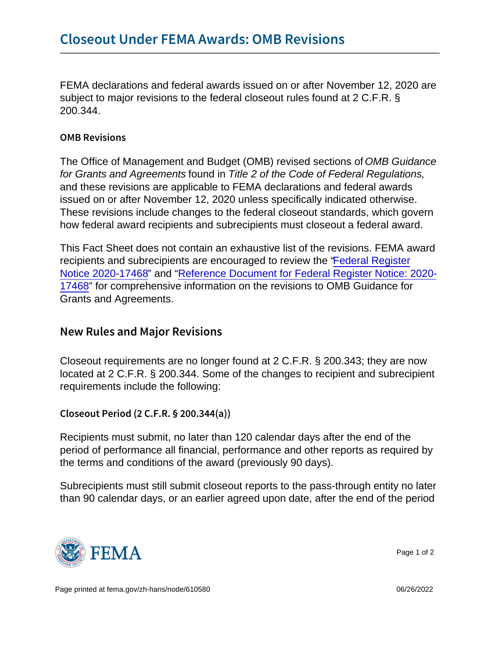FEMA declarations and federal awards issued on or after November 12, 2020 are subject to major revisions to the federal closeout rules found at 2 C.F.R. § 200.344.

## OMB Revisions

The Office of Management and Budget (OMB) revised sections of OMB Guidance for Grants and Agreements found in Title 2 of the Code of Federal Regulations, and these revisions are applicable to FEMA declarations and federal awards issued on or after November 12, 2020 unless specifically indicated otherwise. These revisions include changes to the federal closeout standards, which govern how federal award recipients and subrecipients must closeout a federal award.

This Fact Sheet does not contain an exhaustive list of the revisions. FEMA award recipients and subrecipients are encouraged to review the ["Federal Register](https://www.govinfo.gov/content/pkg/FR-2020-08-13/pdf/2020-17468.pdf) [Notice 2020-17468](https://www.govinfo.gov/content/pkg/FR-2020-08-13/pdf/2020-17468.pdf)" and ["Reference Document for Federal Register Notice: 2020-](https://trumpadministration.archives.performance.gov/CAP/20200812-2-CFR-Revision-Redline_Final.pdf) [17468"](https://trumpadministration.archives.performance.gov/CAP/20200812-2-CFR-Revision-Redline_Final.pdf) for comprehensive information on the revisions to OMB Guidance for Grants and Agreements.

## New Rules and Major Revisions

Closeout requirements are no longer found at 2 C.F.R. § 200.343; they are now located at 2 C.F.R. § 200.344. Some of the changes to recipient and subrecipient requirements include the following:

Closeout Period (2 C.F.R. § 200.344(a))

Recipients must submit, no later than 120 calendar days after the end of the period of performance all financial, performance and other reports as required by the terms and conditions of the award (previously 90 days).

Subrecipients must still submit closeout reports to the pass-through entity no later than 90 calendar days, or an earlier agreed upon date, after the end of the period



Page 1 of 2

Page printed at [fema.gov/zh-hans/node/610580](https://www.fema.gov/zh-hans/node/610580) 06/26/2022 06/26/2022